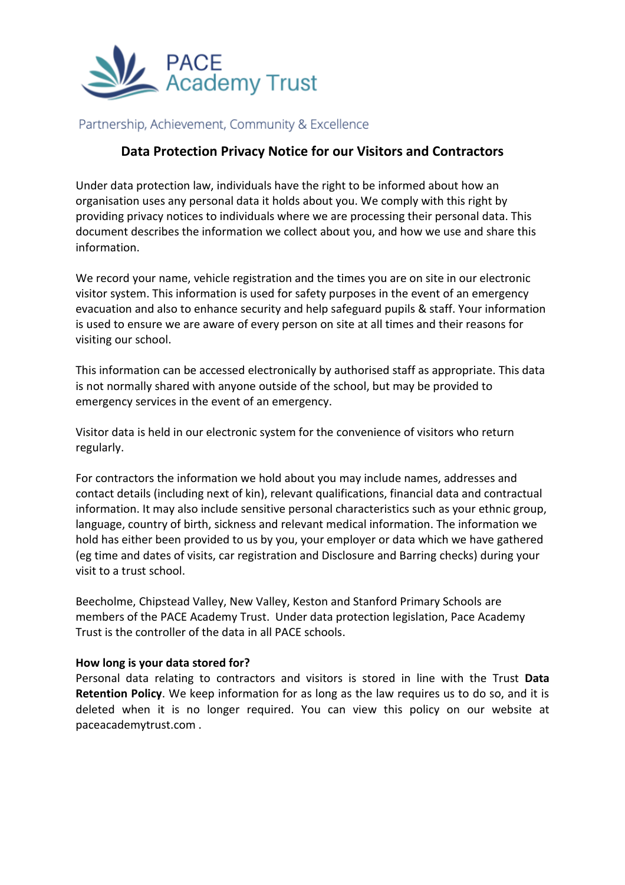

## Partnership, Achievement, Community & Excellence

# **Data Protection Privacy Notice for our Visitors and Contractors**

Under data protection law, individuals have the right to be informed about how an organisation uses any personal data it holds about you. We comply with this right by providing privacy notices to individuals where we are processing their personal data. This document describes the information we collect about you, and how we use and share this information.

We record your name, vehicle registration and the times you are on site in our electronic visitor system. This information is used for safety purposes in the event of an emergency evacuation and also to enhance security and help safeguard pupils & staff. Your information is used to ensure we are aware of every person on site at all times and their reasons for visiting our school.

This information can be accessed electronically by authorised staff as appropriate. This data is not normally shared with anyone outside of the school, but may be provided to emergency services in the event of an emergency.

Visitor data is held in our electronic system for the convenience of visitors who return regularly.

For contractors the information we hold about you may include names, addresses and contact details (including next of kin), relevant qualifications, financial data and contractual information. It may also include sensitive personal characteristics such as your ethnic group, language, country of birth, sickness and relevant medical information. The information we hold has either been provided to us by you, your employer or data which we have gathered (eg time and dates of visits, car registration and Disclosure and Barring checks) during your visit to a trust school.

Beecholme, Chipstead Valley, New Valley, Keston and Stanford Primary Schools are members of the PACE Academy Trust. Under data protection legislation, Pace Academy Trust is the controller of the data in all PACE schools.

#### **How long is your data stored for?**

Personal data relating to contractors and visitors is stored in line with the Trust **Data Retention Policy**. We keep information for as long as the law requires us to do so, and it is deleted when it is no longer required. You can view this policy on our website at paceacademytrust.com .